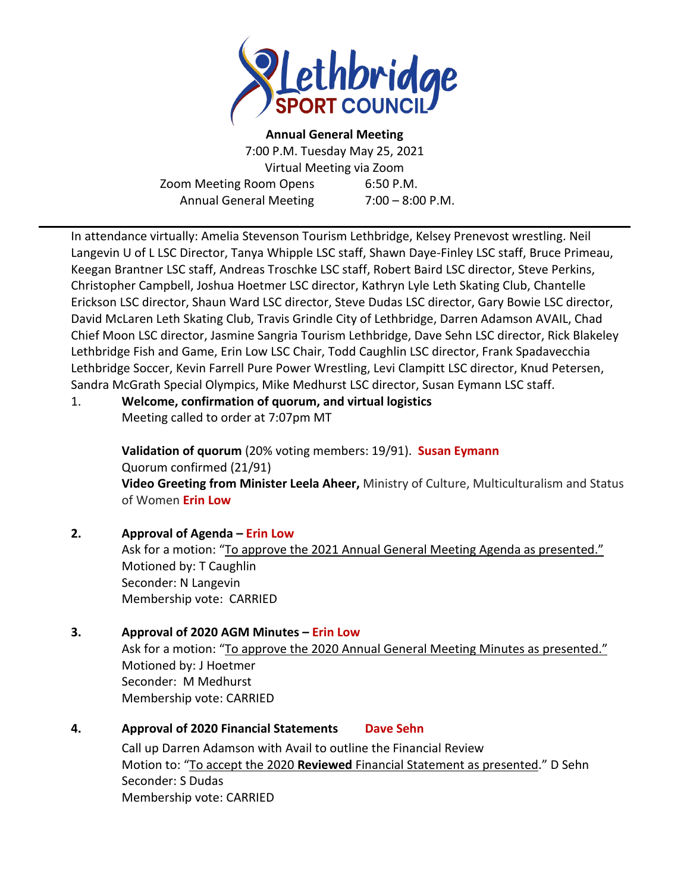

**Annual General Meeting** 7:00 P.M. Tuesday May 25, 2021 Virtual Meeting via Zoom Zoom Meeting Room Opens 6:50 P.M. Annual General Meeting 7:00 – 8:00 P.M.

In attendance virtually: Amelia Stevenson Tourism Lethbridge, Kelsey Prenevost wrestling. Neil Langevin U of L LSC Director, Tanya Whipple LSC staff, Shawn Daye-Finley LSC staff, Bruce Primeau, Keegan Brantner LSC staff, Andreas Troschke LSC staff, Robert Baird LSC director, Steve Perkins, Christopher Campbell, Joshua Hoetmer LSC director, Kathryn Lyle Leth Skating Club, Chantelle Erickson LSC director, Shaun Ward LSC director, Steve Dudas LSC director, Gary Bowie LSC director, David McLaren Leth Skating Club, Travis Grindle City of Lethbridge, Darren Adamson AVAIL, Chad Chief Moon LSC director, Jasmine Sangria Tourism Lethbridge, Dave Sehn LSC director, Rick Blakeley Lethbridge Fish and Game, Erin Low LSC Chair, Todd Caughlin LSC director, Frank Spadavecchia Lethbridge Soccer, Kevin Farrell Pure Power Wrestling, Levi Clampitt LSC director, Knud Petersen, Sandra McGrath Special Olympics, Mike Medhurst LSC director, Susan Eymann LSC staff.

#### 1. **Welcome, confirmation of quorum, and virtual logistics** Meeting called to order at 7:07pm MT

**Validation of quorum** (20% voting members: 19/91). **Susan Eymann** Quorum confirmed (21/91) **Video Greeting from Minister Leela Aheer,** Ministry of Culture, Multiculturalism and Status of Women **Erin Low** 

# **2. Approval of Agenda – Erin Low**

Ask for a motion: "To approve the 2021 Annual General Meeting Agenda as presented." Motioned by: T Caughlin Seconder: N Langevin Membership vote: CARRIED

## **3. Approval of 2020 AGM Minutes – Erin Low** Ask for a motion: "To approve the 2020 Annual General Meeting Minutes as presented." Motioned by: J Hoetmer Seconder: M Medhurst Membership vote: CARRIED

## **4. Approval of 2020 Financial Statements Dave Sehn**

Call up Darren Adamson with Avail to outline the Financial Review Motion to: "To accept the 2020 **Reviewed** Financial Statement as presented." D Sehn Seconder: S Dudas Membership vote: CARRIED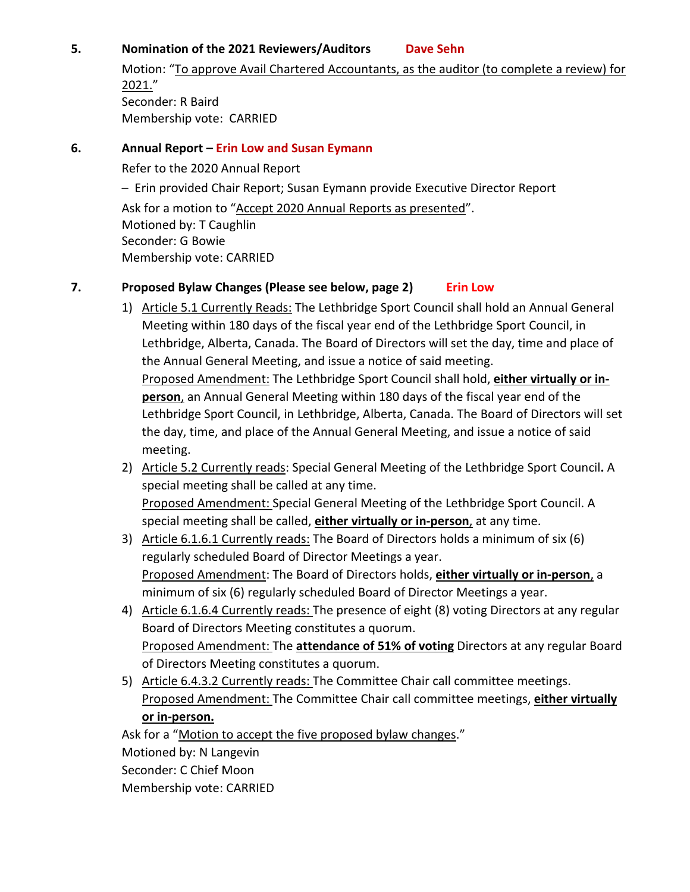# **5. Nomination of the 2021 Reviewers/Auditors Dave Sehn**

Motion: "To approve Avail Chartered Accountants, as the auditor (to complete a review) for 2021." Seconder: R Baird Membership vote: CARRIED

# **6. Annual Report – Erin Low and Susan Eymann**

Refer to the 2020 Annual Report

– Erin provided Chair Report; Susan Eymann provide Executive Director Report

Ask for a motion to "Accept 2020 Annual Reports as presented". Motioned by: T Caughlin Seconder: G Bowie Membership vote: CARRIED

# **7. Proposed Bylaw Changes (Please see below, page 2) Erin Low**

- 1) Article 5.1 Currently Reads: The Lethbridge Sport Council shall hold an Annual General Meeting within 180 days of the fiscal year end of the Lethbridge Sport Council, in Lethbridge, Alberta, Canada. The Board of Directors will set the day, time and place of the Annual General Meeting, and issue a notice of said meeting. Proposed Amendment: The Lethbridge Sport Council shall hold, **either virtually or inperson**, an Annual General Meeting within 180 days of the fiscal year end of the Lethbridge Sport Council, in Lethbridge, Alberta, Canada. The Board of Directors will set the day, time, and place of the Annual General Meeting, and issue a notice of said meeting.
- 2) Article 5.2 Currently reads: Special General Meeting of the Lethbridge Sport Council**.** A special meeting shall be called at any time. Proposed Amendment: Special General Meeting of the Lethbridge Sport Council. A special meeting shall be called, **either virtually or in-person**, at any time.
- 3) Article 6.1.6.1 Currently reads: The Board of Directors holds a minimum of six (6) regularly scheduled Board of Director Meetings a year. Proposed Amendment: The Board of Directors holds, **either virtually or in-person**, a minimum of six (6) regularly scheduled Board of Director Meetings a year.
- 4) Article 6.1.6.4 Currently reads: The presence of eight (8) voting Directors at any regular Board of Directors Meeting constitutes a quorum. Proposed Amendment: The **attendance of 51% of voting** Directors at any regular Board of Directors Meeting constitutes a quorum.
- 5) Article 6.4.3.2 Currently reads: The Committee Chair call committee meetings. Proposed Amendment: The Committee Chair call committee meetings, **either virtually or in-person.**

Ask for a "Motion to accept the five proposed bylaw changes." Motioned by: N Langevin Seconder: C Chief Moon Membership vote: CARRIED